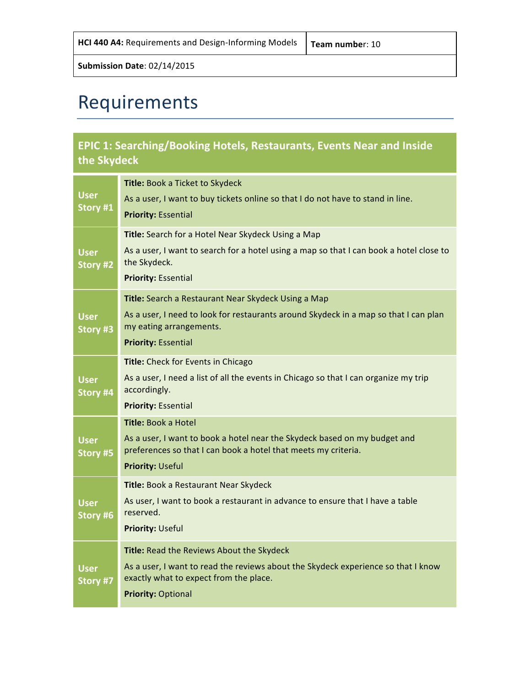# Requirements

### **EPIC 1: Searching/Booking Hotels, Restaurants, Events Near and Inside the Skydeck**

| <b>User</b><br>Story #1 | Title: Book a Ticket to Skydeck<br>As a user, I want to buy tickets online so that I do not have to stand in line.<br><b>Priority: Essential</b>                                                      |
|-------------------------|-------------------------------------------------------------------------------------------------------------------------------------------------------------------------------------------------------|
| <b>User</b><br>Story #2 | Title: Search for a Hotel Near Skydeck Using a Map<br>As a user, I want to search for a hotel using a map so that I can book a hotel close to<br>the Skydeck.<br><b>Priority: Essential</b>           |
| <b>User</b><br>Story #3 | Title: Search a Restaurant Near Skydeck Using a Map<br>As a user, I need to look for restaurants around Skydeck in a map so that I can plan<br>my eating arrangements.<br><b>Priority: Essential</b>  |
| <b>User</b><br>Story #4 | Title: Check for Events in Chicago<br>As a user, I need a list of all the events in Chicago so that I can organize my trip<br>accordingly.<br><b>Priority: Essential</b>                              |
| <b>User</b><br>Story #5 | Title: Book a Hotel<br>As a user, I want to book a hotel near the Skydeck based on my budget and<br>preferences so that I can book a hotel that meets my criteria.<br><b>Priority: Useful</b>         |
| <b>User</b><br>Story #6 | Title: Book a Restaurant Near Skydeck<br>As user, I want to book a restaurant in advance to ensure that I have a table<br>reserved.<br><b>Priority: Useful</b>                                        |
| <b>User</b><br>Story #7 | Title: Read the Reviews About the Skydeck<br>As a user, I want to read the reviews about the Skydeck experience so that I know<br>exactly what to expect from the place.<br><b>Priority: Optional</b> |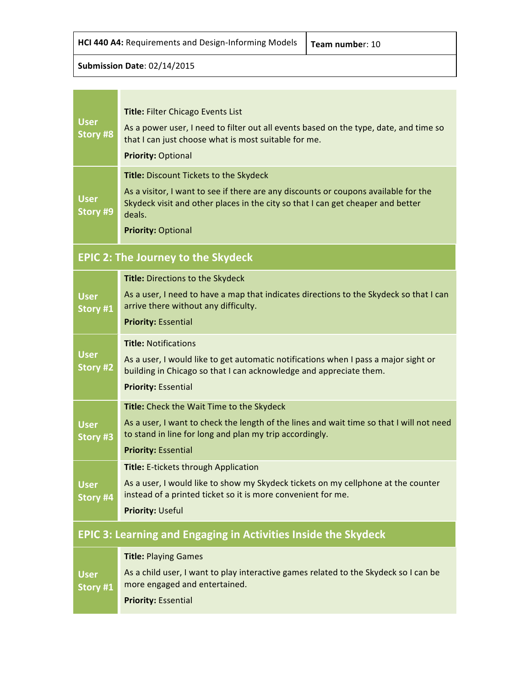| <b>HCI 440 A4:</b> Requirements and Design-Informing Models $ \tau$ |  |
|---------------------------------------------------------------------|--|
|---------------------------------------------------------------------|--|

| <b>User</b><br><b>Story #8</b> | <b>Title: Filter Chicago Events List</b><br>As a power user, I need to filter out all events based on the type, date, and time so<br>that I can just choose what is most suitable for me.<br><b>Priority: Optional</b>                                         |
|--------------------------------|----------------------------------------------------------------------------------------------------------------------------------------------------------------------------------------------------------------------------------------------------------------|
| <b>User</b><br>Story #9        | <b>Title: Discount Tickets to the Skydeck</b><br>As a visitor, I want to see if there are any discounts or coupons available for the<br>Skydeck visit and other places in the city so that I can get cheaper and better<br>deals.<br><b>Priority: Optional</b> |

### **EPIC 2: The Journey to the Skydeck**

|                                                                       | <b>Title: Directions to the Skydeck</b>                                                                                                                   |  |
|-----------------------------------------------------------------------|-----------------------------------------------------------------------------------------------------------------------------------------------------------|--|
| <b>User</b><br>Story #1                                               | As a user, I need to have a map that indicates directions to the Skydeck so that I can<br>arrive there without any difficulty.                            |  |
|                                                                       | <b>Priority: Essential</b>                                                                                                                                |  |
|                                                                       | <b>Title: Notifications</b>                                                                                                                               |  |
| <b>User</b><br>Story #2                                               | As a user, I would like to get automatic notifications when I pass a major sight or<br>building in Chicago so that I can acknowledge and appreciate them. |  |
|                                                                       | <b>Priority: Essential</b>                                                                                                                                |  |
|                                                                       | Title: Check the Wait Time to the Skydeck                                                                                                                 |  |
| <b>User</b><br>Story #3                                               | As a user, I want to check the length of the lines and wait time so that I will not need<br>to stand in line for long and plan my trip accordingly.       |  |
|                                                                       | <b>Priority: Essential</b>                                                                                                                                |  |
|                                                                       | Title: E-tickets through Application                                                                                                                      |  |
| <b>User</b><br>Story #4                                               | As a user, I would like to show my Skydeck tickets on my cellphone at the counter<br>instead of a printed ticket so it is more convenient for me.         |  |
|                                                                       | <b>Priority: Useful</b>                                                                                                                                   |  |
| <b>EPIC 3: Learning and Engaging in Activities Inside the Skydeck</b> |                                                                                                                                                           |  |

|                         | <b>Title: Playing Games</b>                                                                                           |
|-------------------------|-----------------------------------------------------------------------------------------------------------------------|
| <b>User</b><br>Story #1 | As a child user, I want to play interactive games related to the Skydeck so I can be<br>more engaged and entertained. |
|                         | <b>Priority: Essential</b>                                                                                            |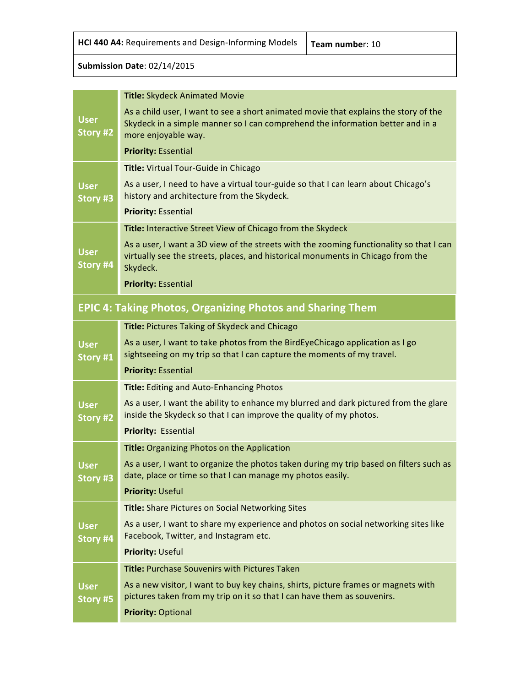**HCI 440 A4:** Requirements and Design-Informing Models  $\vert$  Team number: 10

#### **Submission Date**: 02/14/2015

|                                | <b>Title: Skydeck Animated Movie</b>                                                                                                                                                          |
|--------------------------------|-----------------------------------------------------------------------------------------------------------------------------------------------------------------------------------------------|
| <b>User</b><br><b>Story #2</b> | As a child user, I want to see a short animated movie that explains the story of the<br>Skydeck in a simple manner so I can comprehend the information better and in a<br>more enjoyable way. |
|                                | <b>Priority: Essential</b>                                                                                                                                                                    |
|                                | Title: Virtual Tour-Guide in Chicago                                                                                                                                                          |
| <b>User</b><br>Story #3        | As a user, I need to have a virtual tour-guide so that I can learn about Chicago's<br>history and architecture from the Skydeck.                                                              |
|                                | <b>Priority: Essential</b>                                                                                                                                                                    |
|                                | Title: Interactive Street View of Chicago from the Skydeck                                                                                                                                    |
| <b>User</b><br>Story #4        | As a user, I want a 3D view of the streets with the zooming functionality so that I can<br>virtually see the streets, places, and historical monuments in Chicago from the<br>Skydeck.        |
|                                | <b>Priority: Essential</b>                                                                                                                                                                    |
|                                | <b>EPIC 4: Taking Photos, Organizing Photos and Sharing Them</b>                                                                                                                              |
|                                | Title: Pictures Taking of Skydeck and Chicago                                                                                                                                                 |
| <b>User</b><br>Story #1        | As a user, I want to take photos from the BirdEyeChicago application as I go<br>sightseeing on my trip so that I can capture the moments of my travel.                                        |
|                                | <b>Priority: Essential</b>                                                                                                                                                                    |
|                                | Title: Editing and Auto-Enhancing Photos                                                                                                                                                      |
| <b>User</b><br>Story #2        | As a user, I want the ability to enhance my blurred and dark pictured from the glare<br>inside the Skydeck so that I can improve the quality of my photos.                                    |
|                                | Priority: Essential                                                                                                                                                                           |
|                                | Title: Organizing Photos on the Application                                                                                                                                                   |
| <b>User</b><br>Story #3        | As a user, I want to organize the photos taken during my trip based on filters such as<br>date, place or time so that I can manage my photos easily.                                          |
|                                | <b>Priority: Useful</b>                                                                                                                                                                       |
|                                | <b>Title:</b> Share Pictures on Social Networking Sites                                                                                                                                       |
| <b>User</b><br>Story #4        | As a user, I want to share my experience and photos on social networking sites like<br>Facebook, Twitter, and Instagram etc.                                                                  |
|                                | <b>Priority: Useful</b>                                                                                                                                                                       |
|                                | <b>Title: Purchase Souvenirs with Pictures Taken</b>                                                                                                                                          |
| <b>User</b><br>Story #5        | As a new visitor, I want to buy key chains, shirts, picture frames or magnets with<br>pictures taken from my trip on it so that I can have them as souvenirs.                                 |
|                                | <b>Priority: Optional</b>                                                                                                                                                                     |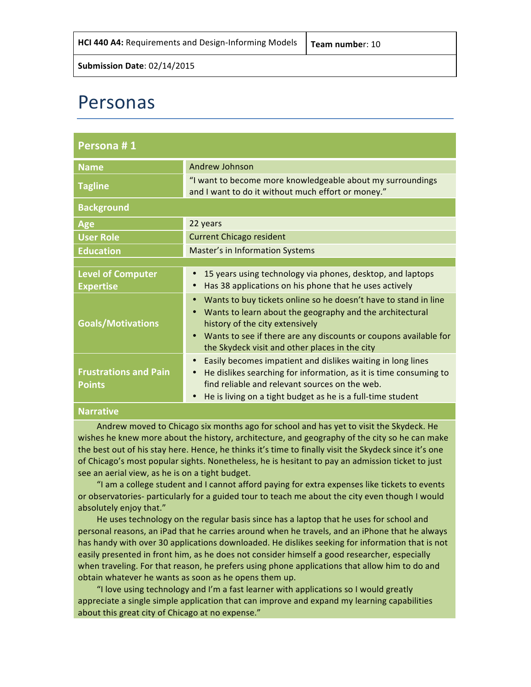## Personas

| Persona #1                                    |                                                                                                                                                                                                                                                                                                                             |
|-----------------------------------------------|-----------------------------------------------------------------------------------------------------------------------------------------------------------------------------------------------------------------------------------------------------------------------------------------------------------------------------|
| <b>Name</b>                                   | <b>Andrew Johnson</b>                                                                                                                                                                                                                                                                                                       |
| <b>Tagline</b>                                | "I want to become more knowledgeable about my surroundings<br>and I want to do it without much effort or money."                                                                                                                                                                                                            |
| <b>Background</b>                             |                                                                                                                                                                                                                                                                                                                             |
| Age                                           | 22 years                                                                                                                                                                                                                                                                                                                    |
| <b>User Role</b>                              | <b>Current Chicago resident</b>                                                                                                                                                                                                                                                                                             |
| <b>Education</b>                              | <b>Master's in Information Systems</b>                                                                                                                                                                                                                                                                                      |
|                                               |                                                                                                                                                                                                                                                                                                                             |
| <b>Level of Computer</b><br><b>Expertise</b>  | 15 years using technology via phones, desktop, and laptops<br>Has 38 applications on his phone that he uses actively<br>$\bullet$                                                                                                                                                                                           |
| <b>Goals/Motivations</b>                      | Wants to buy tickets online so he doesn't have to stand in line<br>$\bullet$<br>Wants to learn about the geography and the architectural<br>$\bullet$<br>history of the city extensively<br>Wants to see if there are any discounts or coupons available for<br>$\bullet$<br>the Skydeck visit and other places in the city |
| <b>Frustrations and Pain</b><br><b>Points</b> | Easily becomes impatient and dislikes waiting in long lines<br>He dislikes searching for information, as it is time consuming to<br>$\bullet$<br>find reliable and relevant sources on the web.<br>He is living on a tight budget as he is a full-time student                                                              |

#### **Narrative**

Andrew moved to Chicago six months ago for school and has yet to visit the Skydeck. He wishes he knew more about the history, architecture, and geography of the city so he can make the best out of his stay here. Hence, he thinks it's time to finally visit the Skydeck since it's one of Chicago's most popular sights. Nonetheless, he is hesitant to pay an admission ticket to just see an aerial view, as he is on a tight budget.

"I am a college student and I cannot afford paying for extra expenses like tickets to events or observatories- particularly for a guided tour to teach me about the city even though I would absolutely enjoy that."

He uses technology on the regular basis since has a laptop that he uses for school and personal reasons, an iPad that he carries around when he travels, and an iPhone that he always has handy with over 30 applications downloaded. He dislikes seeking for information that is not easily presented in front him, as he does not consider himself a good researcher, especially when traveling. For that reason, he prefers using phone applications that allow him to do and obtain whatever he wants as soon as he opens them up.

"I love using technology and I'm a fast learner with applications so I would greatly appreciate a single simple application that can improve and expand my learning capabilities about this great city of Chicago at no expense."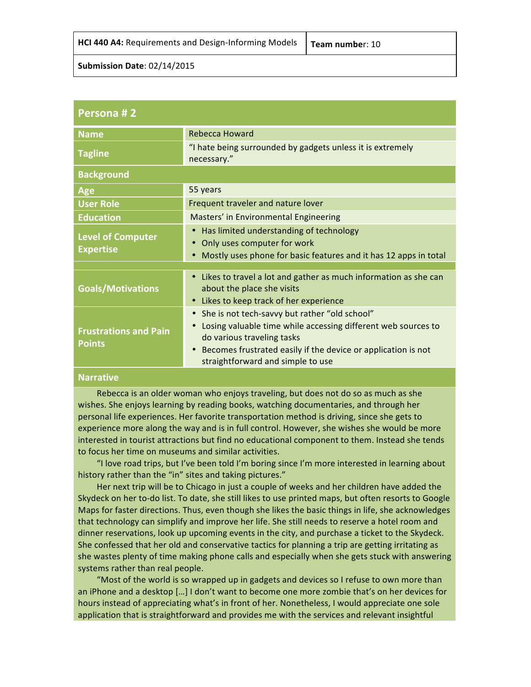| <b>HCI 440 A4:</b> Requirements and Design-Informing Models $\vert$ Team number: 10 |  |
|-------------------------------------------------------------------------------------|--|
|-------------------------------------------------------------------------------------|--|

| Persona #2                                    |                                                                                                                                                                                                                                                                                           |
|-----------------------------------------------|-------------------------------------------------------------------------------------------------------------------------------------------------------------------------------------------------------------------------------------------------------------------------------------------|
| <b>Name</b>                                   | <b>Rebecca Howard</b>                                                                                                                                                                                                                                                                     |
| <b>Tagline</b>                                | "I hate being surrounded by gadgets unless it is extremely<br>necessary."                                                                                                                                                                                                                 |
| <b>Background</b>                             |                                                                                                                                                                                                                                                                                           |
| Age                                           | 55 years                                                                                                                                                                                                                                                                                  |
| <b>User Role</b>                              | Frequent traveler and nature lover                                                                                                                                                                                                                                                        |
| <b>Education</b>                              | Masters' in Environmental Engineering                                                                                                                                                                                                                                                     |
| <b>Level of Computer</b><br><b>Expertise</b>  | Has limited understanding of technology<br>$\bullet$<br>Only uses computer for work<br>$\bullet$<br>Mostly uses phone for basic features and it has 12 apps in total<br>$\bullet$                                                                                                         |
|                                               |                                                                                                                                                                                                                                                                                           |
| <b>Goals/Motivations</b>                      | Likes to travel a lot and gather as much information as she can<br>$\bullet$<br>about the place she visits<br>Likes to keep track of her experience<br>$\bullet$                                                                                                                          |
| <b>Frustrations and Pain</b><br><b>Points</b> | She is not tech-savvy but rather "old school"<br>$\bullet$<br>Losing valuable time while accessing different web sources to<br>$\bullet$<br>do various traveling tasks<br>Becomes frustrated easily if the device or application is not<br>$\bullet$<br>straightforward and simple to use |

#### **Narrative**

Rebecca is an older woman who enjoys traveling, but does not do so as much as she wishes. She enjoys learning by reading books, watching documentaries, and through her personal life experiences. Her favorite transportation method is driving, since she gets to experience more along the way and is in full control. However, she wishes she would be more interested in tourist attractions but find no educational component to them. Instead she tends to focus her time on museums and similar activities.

"I love road trips, but I've been told I'm boring since I'm more interested in learning about history rather than the "in" sites and taking pictures."

Her next trip will be to Chicago in just a couple of weeks and her children have added the Skydeck on her to-do list. To date, she still likes to use printed maps, but often resorts to Google Maps for faster directions. Thus, even though she likes the basic things in life, she acknowledges that technology can simplify and improve her life. She still needs to reserve a hotel room and dinner reservations, look up upcoming events in the city, and purchase a ticket to the Skydeck. She confessed that her old and conservative tactics for planning a trip are getting irritating as she wastes plenty of time making phone calls and especially when she gets stuck with answering systems rather than real people.

"Most of the world is so wrapped up in gadgets and devices so I refuse to own more than an iPhone and a desktop [...] I don't want to become one more zombie that's on her devices for hours instead of appreciating what's in front of her. Nonetheless, I would appreciate one sole application that is straightforward and provides me with the services and relevant insightful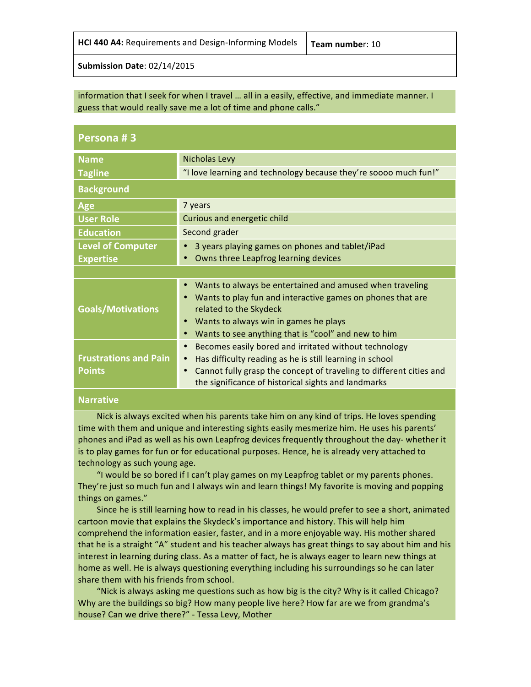| HCI 440 A4: Requirements and Design-Informing Models |
|------------------------------------------------------|
|------------------------------------------------------|

#### information that I seek for when I travel ... all in a easily, effective, and immediate manner. I guess that would really save me a lot of time and phone calls."

| Persona #3                                    |                                                                                                                                                                                                                                                                            |
|-----------------------------------------------|----------------------------------------------------------------------------------------------------------------------------------------------------------------------------------------------------------------------------------------------------------------------------|
| <b>Name</b>                                   | <b>Nicholas Levy</b>                                                                                                                                                                                                                                                       |
| <b>Tagline</b>                                | "I love learning and technology because they're soooo much fun!"                                                                                                                                                                                                           |
| <b>Background</b>                             |                                                                                                                                                                                                                                                                            |
| <b>Age</b>                                    | 7 years                                                                                                                                                                                                                                                                    |
| <b>User Role</b>                              | Curious and energetic child                                                                                                                                                                                                                                                |
| <b>Education</b>                              | Second grader                                                                                                                                                                                                                                                              |
| <b>Level of Computer</b>                      | 3 years playing games on phones and tablet/iPad                                                                                                                                                                                                                            |
| <b>Expertise</b>                              | Owns three Leapfrog learning devices<br>$\bullet$                                                                                                                                                                                                                          |
|                                               |                                                                                                                                                                                                                                                                            |
| <b>Goals/Motivations</b>                      | Wants to always be entertained and amused when traveling<br>Wants to play fun and interactive games on phones that are<br>related to the Skydeck<br>Wants to always win in games he plays<br>$\bullet$<br>Wants to see anything that is "cool" and new to him<br>$\bullet$ |
| <b>Frustrations and Pain</b><br><b>Points</b> | Becomes easily bored and irritated without technology<br>Has difficulty reading as he is still learning in school<br>$\bullet$<br>Cannot fully grasp the concept of traveling to different cities and<br>$\bullet$<br>the significance of historical sights and landmarks  |

#### **Narrative**

Nick is always excited when his parents take him on any kind of trips. He loves spending time with them and unique and interesting sights easily mesmerize him. He uses his parents' phones and iPad as well as his own Leapfrog devices frequently throughout the day- whether it is to play games for fun or for educational purposes. Hence, he is already very attached to technology as such young age.

"I would be so bored if I can't play games on my Leapfrog tablet or my parents phones. They're just so much fun and I always win and learn things! My favorite is moving and popping things on games."

Since he is still learning how to read in his classes, he would prefer to see a short, animated cartoon movie that explains the Skydeck's importance and history. This will help him comprehend the information easier, faster, and in a more enjoyable way. His mother shared that he is a straight "A" student and his teacher always has great things to say about him and his interest in learning during class. As a matter of fact, he is always eager to learn new things at home as well. He is always questioning everything including his surroundings so he can later share them with his friends from school.

"Nick is always asking me questions such as how big is the city? Why is it called Chicago? Why are the buildings so big? How many people live here? How far are we from grandma's house? Can we drive there?" - Tessa Levy, Mother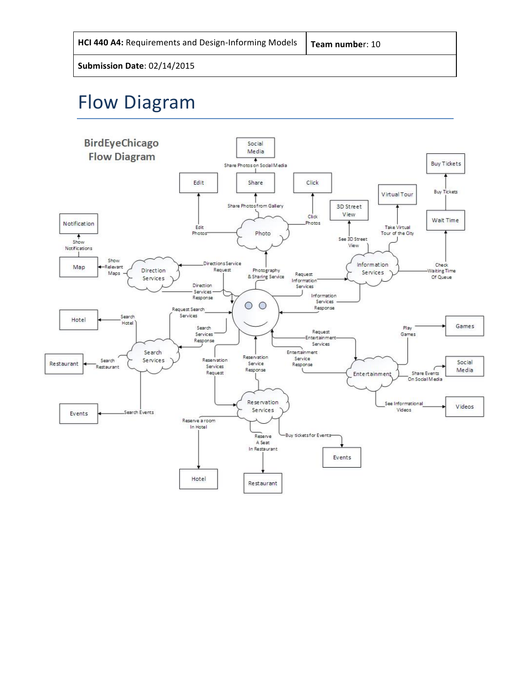| HCI 440 A4: Requirements and Design-Informing Models |  |
|------------------------------------------------------|--|
|------------------------------------------------------|--|

# Flow Diagram

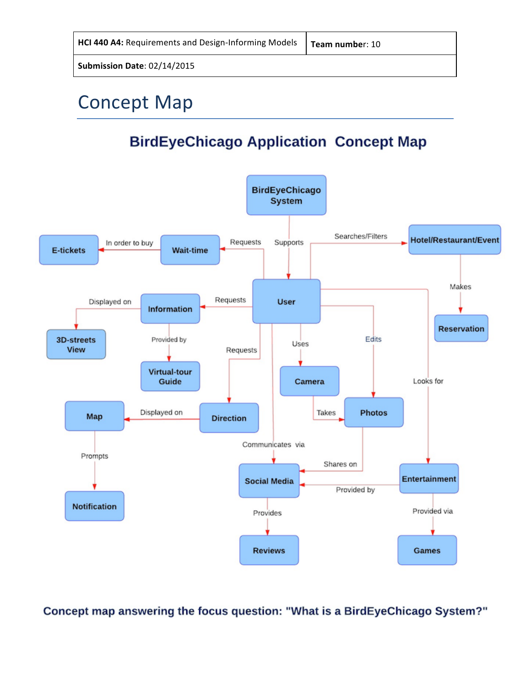| HCI 440 A4: Requirements and Design-Informing Models   Team number: 10 |  |
|------------------------------------------------------------------------|--|
|------------------------------------------------------------------------|--|

# **Concept Map**

### **BirdEyeChicago Application Concept Map**



Concept map answering the focus question: "What is a BirdEyeChicago System?"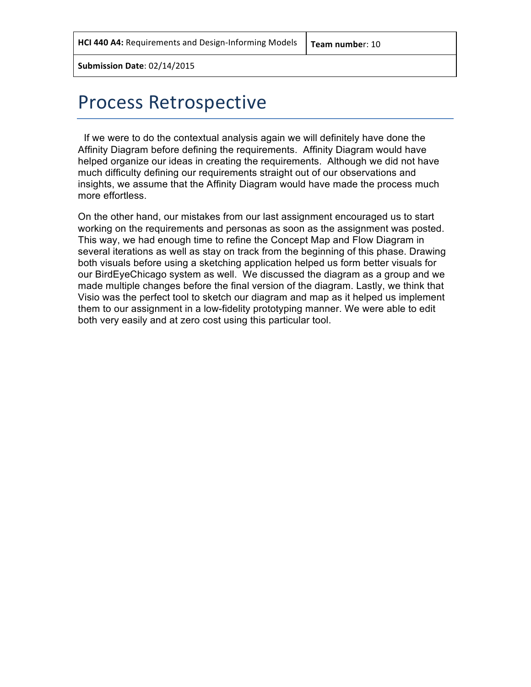## Process Retrospective

If we were to do the contextual analysis again we will definitely have done the Affinity Diagram before defining the requirements. Affinity Diagram would have helped organize our ideas in creating the requirements. Although we did not have much difficulty defining our requirements straight out of our observations and insights, we assume that the Affinity Diagram would have made the process much more effortless.

On the other hand, our mistakes from our last assignment encouraged us to start working on the requirements and personas as soon as the assignment was posted. This way, we had enough time to refine the Concept Map and Flow Diagram in several iterations as well as stay on track from the beginning of this phase. Drawing both visuals before using a sketching application helped us form better visuals for our BirdEyeChicago system as well. We discussed the diagram as a group and we made multiple changes before the final version of the diagram. Lastly, we think that Visio was the perfect tool to sketch our diagram and map as it helped us implement them to our assignment in a low-fidelity prototyping manner. We were able to edit both very easily and at zero cost using this particular tool.